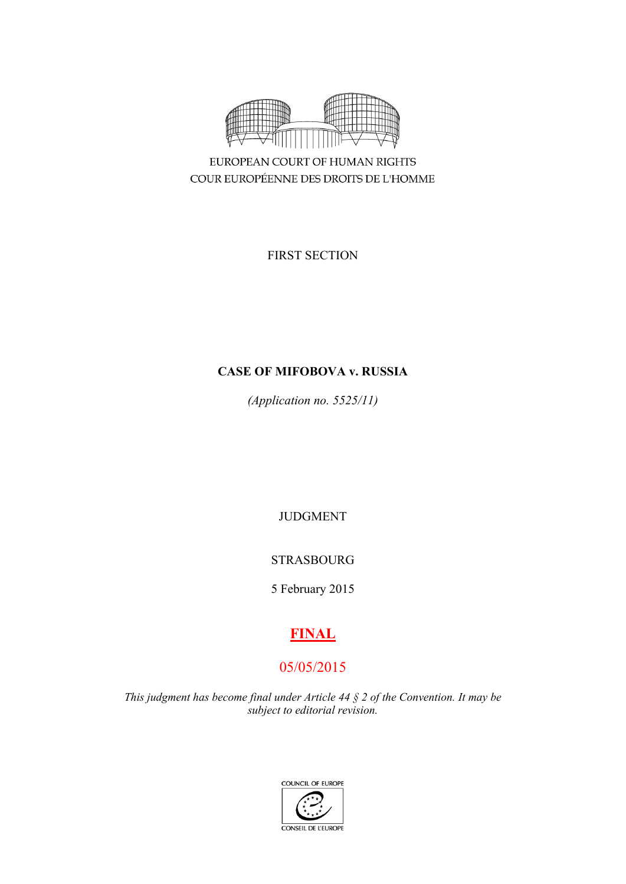

EUROPEAN COURT OF HUMAN RIGHTS COUR EUROPÉENNE DES DROITS DE L'HOMME

FIRST SECTION

# **CASE OF MIFOBOVA v. RUSSIA**

*(Application no. 5525/11)*

JUDGMENT

STRASBOURG

5 February 2015

# **FINAL**

# 05/05/2015

*This judgment has become final under Article 44 § 2 of the Convention. It may be subject to editorial revision.*

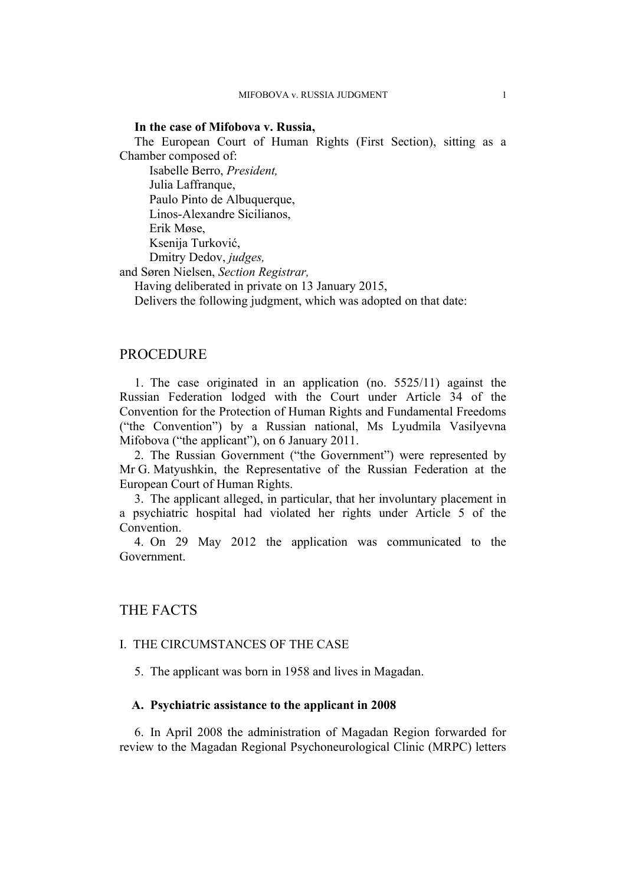### **In the case of Mifobova v. Russia,**

The European Court of Human Rights (First Section), sitting as a Chamber composed of:

Isabelle Berro, *President,* Julia Laffranque, Paulo Pinto de Albuquerque, Linos-Alexandre Sicilianos, Erik Møse, Ksenija Turković, Dmitry Dedov, *judges,*

and Søren Nielsen, *Section Registrar,*

Having deliberated in private on 13 January 2015,

Delivers the following judgment, which was adopted on that date:

### **PROCEDURE**

1. The case originated in an application (no. 5525/11) against the Russian Federation lodged with the Court under Article 34 of the Convention for the Protection of Human Rights and Fundamental Freedoms ("the Convention") by a Russian national, Ms Lyudmila Vasilyevna Mifobova ("the applicant"), on 6 January 2011.

2. The Russian Government ("the Government") were represented by Mr G. Matyushkin, the Representative of the Russian Federation at the European Court of Human Rights.

3. The applicant alleged, in particular, that her involuntary placement in a psychiatric hospital had violated her rights under Article 5 of the **Convention** 

4. On 29 May 2012 the application was communicated to the Government.

## THE FACTS

### I. THE CIRCUMSTANCES OF THE CASE

5. The applicant was born in 1958 and lives in Magadan.

## **A. Psychiatric assistance to the applicant in 2008**

6. In April 2008 the administration of Magadan Region forwarded for review to the Magadan Regional Psychoneurological Clinic (MRPC) letters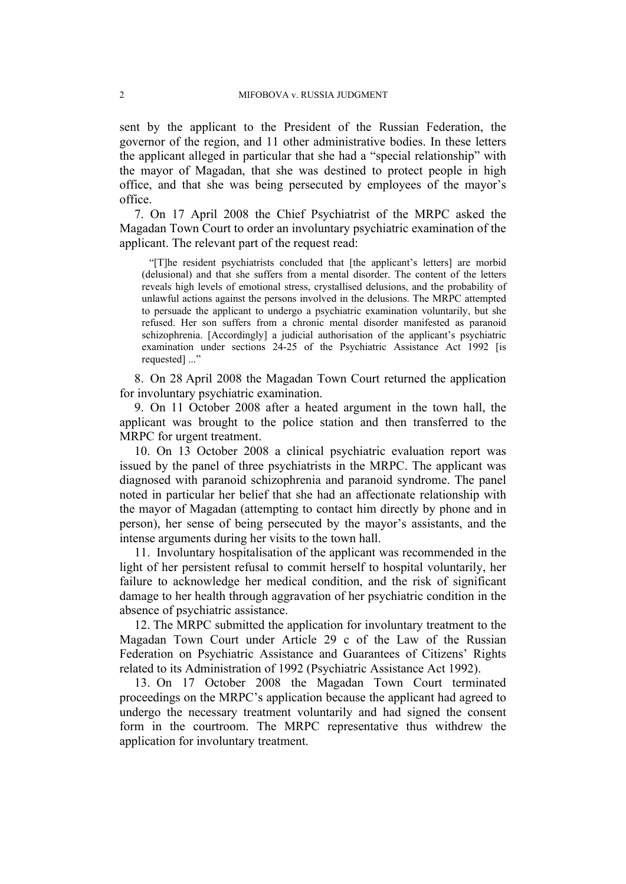sent by the applicant to the President of the Russian Federation, the governor of the region, and 11 other administrative bodies. In these letters the applicant alleged in particular that she had a "special relationship" with the mayor of Magadan, that she was destined to protect people in high office, and that she was being persecuted by employees of the mayor's office.

7. On 17 April 2008 the Chief Psychiatrist of the MRPC asked the Magadan Town Court to order an involuntary psychiatric examination of the applicant. The relevant part of the request read:

"[T]he resident psychiatrists concluded that [the applicant's letters] are morbid (delusional) and that she suffers from a mental disorder. The content of the letters reveals high levels of emotional stress, crystallised delusions, and the probability of unlawful actions against the persons involved in the delusions. The MRPC attempted to persuade the applicant to undergo a psychiatric examination voluntarily, but she refused. Her son suffers from a chronic mental disorder manifested as paranoid schizophrenia. [Accordingly] a judicial authorisation of the applicant's psychiatric examination under sections 24-25 of the Psychiatric Assistance Act 1992 [is requested] ..."

8. On 28 April 2008 the Magadan Town Court returned the application for involuntary psychiatric examination.

9. On 11 October 2008 after a heated argument in the town hall, the applicant was brought to the police station and then transferred to the MRPC for urgent treatment.

10. On 13 October 2008 a clinical psychiatric evaluation report was issued by the panel of three psychiatrists in the MRPC. The applicant was diagnosed with paranoid schizophrenia and paranoid syndrome. The panel noted in particular her belief that she had an affectionate relationship with the mayor of Magadan (attempting to contact him directly by phone and in person), her sense of being persecuted by the mayor's assistants, and the intense arguments during her visits to the town hall.

11. Involuntary hospitalisation of the applicant was recommended in the light of her persistent refusal to commit herself to hospital voluntarily, her failure to acknowledge her medical condition, and the risk of significant damage to her health through aggravation of her psychiatric condition in the absence of psychiatric assistance.

12. The MRPC submitted the application for involuntary treatment to the Magadan Town Court under Article 29 c of the Law of the Russian Federation on Psychiatric Assistance and Guarantees of Citizens' Rights related to its Administration of 1992 (Psychiatric Assistance Act 1992).

13. On 17 October 2008 the Magadan Town Court terminated proceedings on the MRPC's application because the applicant had agreed to undergo the necessary treatment voluntarily and had signed the consent form in the courtroom. The MRPC representative thus withdrew the application for involuntary treatment.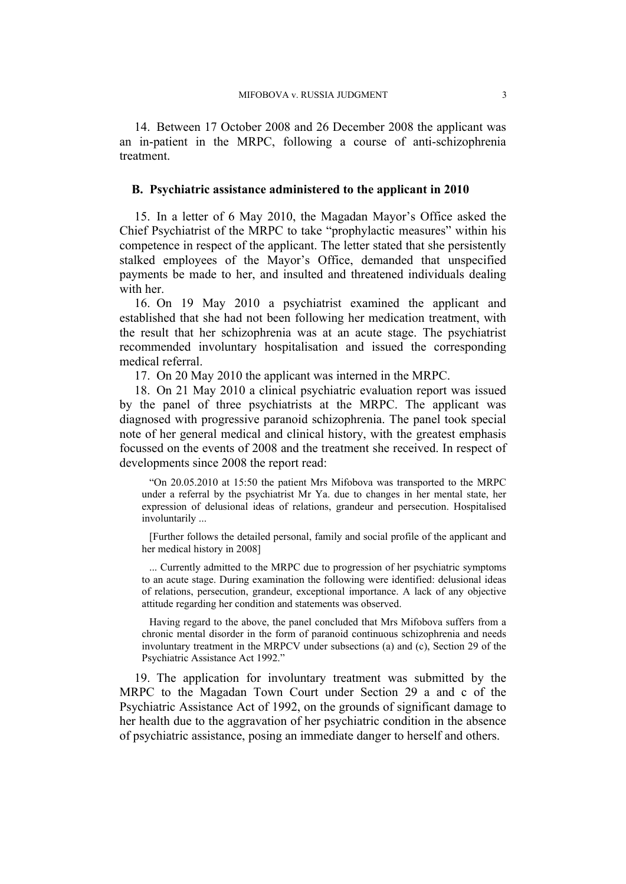14. Between 17 October 2008 and 26 December 2008 the applicant was an in-patient in the MRPC, following a course of anti-schizophrenia treatment.

### **B. Psychiatric assistance administered to the applicant in 2010**

15. In a letter of 6 May 2010, the Magadan Mayor's Office asked the Chief Psychiatrist of the MRPC to take "prophylactic measures" within his competence in respect of the applicant. The letter stated that she persistently stalked employees of the Mayor's Office, demanded that unspecified payments be made to her, and insulted and threatened individuals dealing with her.

16. On 19 May 2010 a psychiatrist examined the applicant and established that she had not been following her medication treatment, with the result that her schizophrenia was at an acute stage. The psychiatrist recommended involuntary hospitalisation and issued the corresponding medical referral.

17. On 20 May 2010 the applicant was interned in the MRPC.

18. On 21 May 2010 a clinical psychiatric evaluation report was issued by the panel of three psychiatrists at the MRPC. The applicant was diagnosed with progressive paranoid schizophrenia. The panel took special note of her general medical and clinical history, with the greatest emphasis focussed on the events of 2008 and the treatment she received. In respect of developments since 2008 the report read:

"On 20.05.2010 at 15:50 the patient Mrs Mifobova was transported to the MRPC under a referral by the psychiatrist Mr Ya. due to changes in her mental state, her expression of delusional ideas of relations, grandeur and persecution. Hospitalised involuntarily ...

[Further follows the detailed personal, family and social profile of the applicant and her medical history in 2008]

... Currently admitted to the MRPC due to progression of her psychiatric symptoms to an acute stage. During examination the following were identified: delusional ideas of relations, persecution, grandeur, exceptional importance. A lack of any objective attitude regarding her condition and statements was observed.

Having regard to the above, the panel concluded that Mrs Mifobova suffers from a chronic mental disorder in the form of paranoid continuous schizophrenia and needs involuntary treatment in the MRPCV under subsections (a) and (c), Section 29 of the Psychiatric Assistance Act 1992."

19. The application for involuntary treatment was submitted by the MRPC to the Magadan Town Court under Section 29 a and c of the Psychiatric Assistance Act of 1992, on the grounds of significant damage to her health due to the aggravation of her psychiatric condition in the absence of psychiatric assistance, posing an immediate danger to herself and others.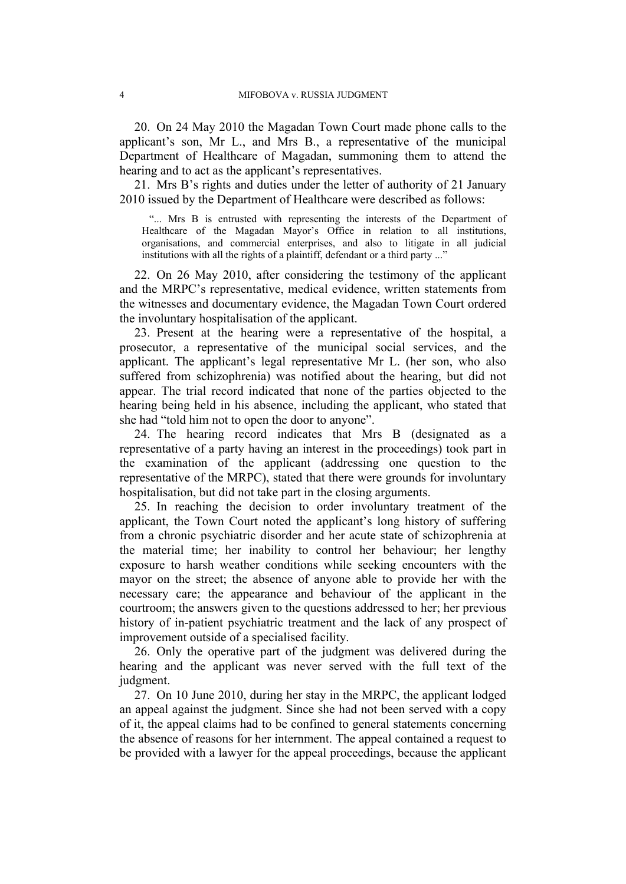<span id="page-5-1"></span>20. On 24 May 2010 the Magadan Town Court made phone calls to the applicant's son, Mr L., and Mrs B., a representative of the municipal Department of Healthcare of Magadan, summoning them to attend the hearing and to act as the applicant's representatives.

<span id="page-5-0"></span>21. Mrs B's rights and duties under the letter of authority of 21 January 2010 issued by the Department of Healthcare were described as follows:

"... Mrs B is entrusted with representing the interests of the Department of Healthcare of the Magadan Mayor's Office in relation to all institutions, organisations, and commercial enterprises, and also to litigate in all judicial institutions with all the rights of a plaintiff, defendant or a third party ..."

22. On 26 May 2010, after considering the testimony of the applicant and the MRPC's representative, medical evidence, written statements from the witnesses and documentary evidence, the Magadan Town Court ordered the involuntary hospitalisation of the applicant.

<span id="page-5-3"></span>23. Present at the hearing were a representative of the hospital, a prosecutor, a representative of the municipal social services, and the applicant. The applicant's legal representative Mr L. (her son, who also suffered from schizophrenia) was notified about the hearing, but did not appear. The trial record indicated that none of the parties objected to the hearing being held in his absence, including the applicant, who stated that she had "told him not to open the door to anyone".

<span id="page-5-2"></span>24. The hearing record indicates that Mrs B (designated as a representative of a party having an interest in the proceedings) took part in the examination of the applicant (addressing one question to the representative of the MRPC), stated that there were grounds for involuntary hospitalisation, but did not take part in the closing arguments.

25. In reaching the decision to order involuntary treatment of the applicant, the Town Court noted the applicant's long history of suffering from a chronic psychiatric disorder and her acute state of schizophrenia at the material time; her inability to control her behaviour; her lengthy exposure to harsh weather conditions while seeking encounters with the mayor on the street; the absence of anyone able to provide her with the necessary care; the appearance and behaviour of the applicant in the courtroom; the answers given to the questions addressed to her; her previous history of in-patient psychiatric treatment and the lack of any prospect of improvement outside of a specialised facility.

26. Only the operative part of the judgment was delivered during the hearing and the applicant was never served with the full text of the judgment.

<span id="page-5-4"></span>27. On 10 June 2010, during her stay in the MRPC, the applicant lodged an appeal against the judgment. Since she had not been served with a copy of it, the appeal claims had to be confined to general statements concerning the absence of reasons for her internment. The appeal contained a request to be provided with a lawyer for the appeal proceedings, because the applicant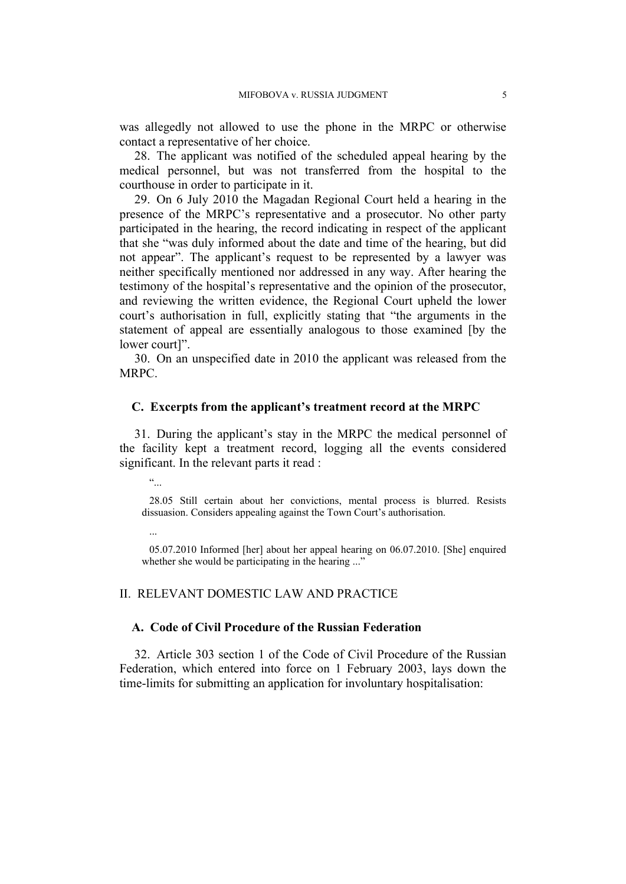was allegedly not allowed to use the phone in the MRPC or otherwise contact a representative of her choice.

28. The applicant was notified of the scheduled appeal hearing by the medical personnel, but was not transferred from the hospital to the courthouse in order to participate in it.

<span id="page-6-1"></span>29. On 6 July 2010 the Magadan Regional Court held a hearing in the presence of the MRPC's representative and a prosecutor. No other party participated in the hearing, the record indicating in respect of the applicant that she "was duly informed about the date and time of the hearing, but did not appear". The applicant's request to be represented by a lawyer was neither specifically mentioned nor addressed in any way. After hearing the testimony of the hospital's representative and the opinion of the prosecutor, and reviewing the written evidence, the Regional Court upheld the lower court's authorisation in full, explicitly stating that "the arguments in the statement of appeal are essentially analogous to those examined [by the lower court]".

30. On an unspecified date in 2010 the applicant was released from the MRPC.

### **C. Excerpts from the applicant's treatment record at the MRPC**

<span id="page-6-0"></span>31. During the applicant's stay in the MRPC the medical personnel of the facility kept a treatment record, logging all the events considered significant. In the relevant parts it read :

"...

28.05 Still certain about her convictions, mental process is blurred. Resists dissuasion. Considers appealing against the Town Court's authorisation.

...

05.07.2010 Informed [her] about her appeal hearing on 06.07.2010. [She] enquired whether she would be participating in the hearing ..."

### II. RELEVANT DOMESTIC LAW AND PRACTICE

### **A. Code of Civil Procedure of the Russian Federation**

32. Article 303 section 1 of the Code of Civil Procedure of the Russian Federation, which entered into force on 1 February 2003, lays down the time-limits for submitting an application for involuntary hospitalisation: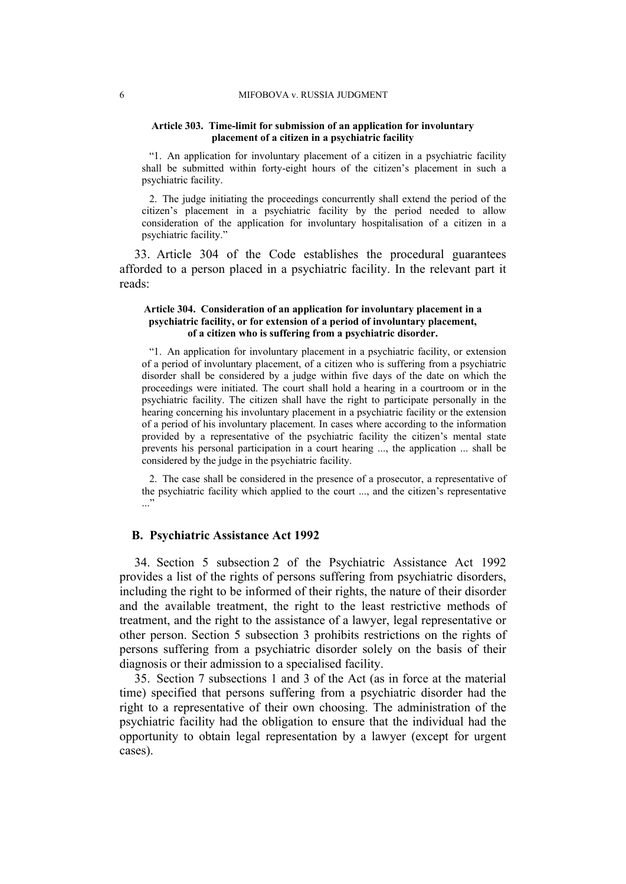#### **Article 303. Time-limit for submission of an application for involuntary placement of a citizen in a psychiatric facility**

"1. An application for involuntary placement of a citizen in a psychiatric facility shall be submitted within forty-eight hours of the citizen's placement in such a psychiatric facility.

2. The judge initiating the proceedings concurrently shall extend the period of the citizen's placement in a psychiatric facility by the period needed to allow consideration of the application for involuntary hospitalisation of a citizen in a psychiatric facility."

33. Article 304 of the Code establishes the procedural guarantees afforded to a person placed in a psychiatric facility. In the relevant part it reads:

#### **Article 304. Consideration of an application for involuntary placement in a psychiatric facility, or for extension of a period of involuntary placement, of a citizen who is suffering from a psychiatric disorder.**

"1. An application for involuntary placement in a psychiatric facility, or extension of a period of involuntary placement, of a citizen who is suffering from a psychiatric disorder shall be considered by a judge within five days of the date on which the proceedings were initiated. The court shall hold a hearing in a courtroom or in the psychiatric facility. The citizen shall have the right to participate personally in the hearing concerning his involuntary placement in a psychiatric facility or the extension of a period of his involuntary placement. In cases where according to the information provided by a representative of the psychiatric facility the citizen's mental state prevents his personal participation in a court hearing ..., the application ... shall be considered by the judge in the psychiatric facility.

2. The case shall be considered in the presence of a prosecutor, a representative of the psychiatric facility which applied to the court ..., and the citizen's representative ..."

### **B. Psychiatric Assistance Act 1992**

34. Section 5 subsection 2 of the Psychiatric Assistance Act 1992 provides a list of the rights of persons suffering from psychiatric disorders, including the right to be informed of their rights, the nature of their disorder and the available treatment, the right to the least restrictive methods of treatment, and the right to the assistance of a lawyer, legal representative or other person. Section 5 subsection 3 prohibits restrictions on the rights of persons suffering from a psychiatric disorder solely on the basis of their diagnosis or their admission to a specialised facility.

35. Section 7 subsections 1 and 3 of the Act (as in force at the material time) specified that persons suffering from a psychiatric disorder had the right to a representative of their own choosing. The administration of the psychiatric facility had the obligation to ensure that the individual had the opportunity to obtain legal representation by a lawyer (except for urgent cases).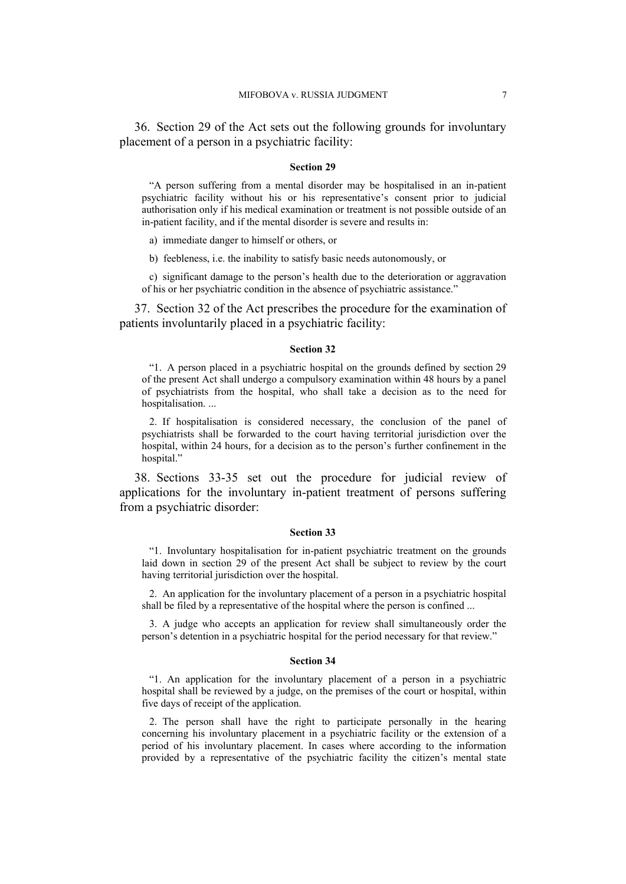36. Section 29 of the Act sets out the following grounds for involuntary placement of a person in a psychiatric facility:

#### **Section 29**

"A person suffering from a mental disorder may be hospitalised in an in-patient psychiatric facility without his or his representative's consent prior to judicial authorisation only if his medical examination or treatment is not possible outside of an in-patient facility, and if the mental disorder is severe and results in:

a) immediate danger to himself or others, or

b) feebleness, i.e. the inability to satisfy basic needs autonomously, or

c) significant damage to the person's health due to the deterioration or aggravation of his or her psychiatric condition in the absence of psychiatric assistance."

37. Section 32 of the Act prescribes the procedure for the examination of patients involuntarily placed in a psychiatric facility:

#### **Section 32**

"1. A person placed in a psychiatric hospital on the grounds defined by section 29 of the present Act shall undergo a compulsory examination within 48 hours by a panel of psychiatrists from the hospital, who shall take a decision as to the need for hospitalisation. ...

2. If hospitalisation is considered necessary, the conclusion of the panel of psychiatrists shall be forwarded to the court having territorial jurisdiction over the hospital, within 24 hours, for a decision as to the person's further confinement in the hospital."

38. Sections 33-35 set out the procedure for judicial review of applications for the involuntary in-patient treatment of persons suffering from a psychiatric disorder:

#### **Section 33**

"1. Involuntary hospitalisation for in-patient psychiatric treatment on the grounds laid down in section 29 of the present Act shall be subject to review by the court having territorial jurisdiction over the hospital.

2. An application for the involuntary placement of a person in a psychiatric hospital shall be filed by a representative of the hospital where the person is confined ...

3. A judge who accepts an application for review shall simultaneously order the person's detention in a psychiatric hospital for the period necessary for that review."

#### **Section 34**

"1. An application for the involuntary placement of a person in a psychiatric hospital shall be reviewed by a judge, on the premises of the court or hospital, within five days of receipt of the application.

2. The person shall have the right to participate personally in the hearing concerning his involuntary placement in a psychiatric facility or the extension of a period of his involuntary placement. In cases where according to the information provided by a representative of the psychiatric facility the citizen's mental state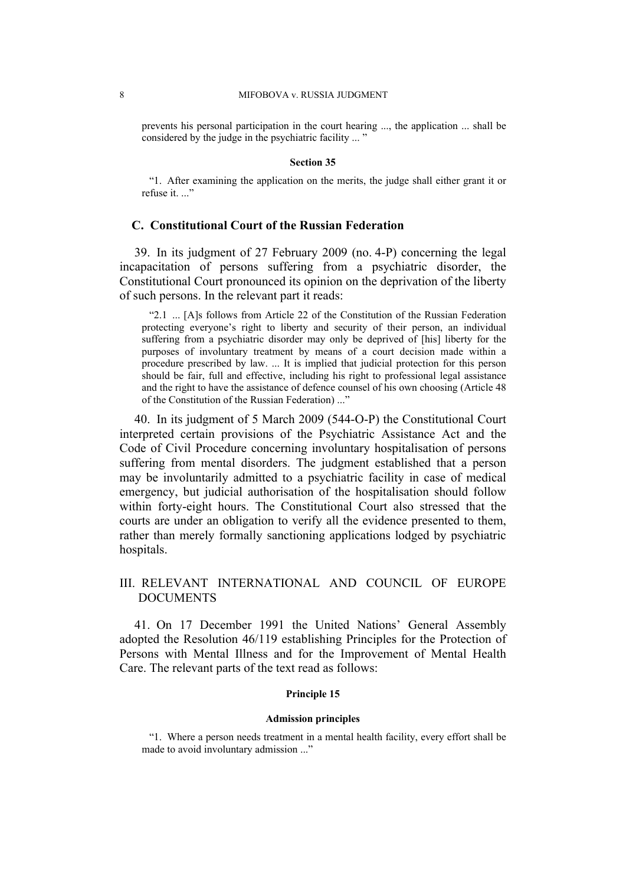prevents his personal participation in the court hearing ..., the application ... shall be considered by the judge in the psychiatric facility ... "

#### **Section 35**

"1. After examining the application on the merits, the judge shall either grant it or refuse it.  $"$ 

### **C. Constitutional Court of the Russian Federation**

39. In its judgment of 27 February 2009 (no. 4-P) concerning the legal incapacitation of persons suffering from a psychiatric disorder, the Constitutional Court pronounced its opinion on the deprivation of the liberty of such persons. In the relevant part it reads:

"2.1 ... [A]s follows from Article 22 of the Constitution of the Russian Federation protecting everyone's right to liberty and security of their person, an individual suffering from a psychiatric disorder may only be deprived of [his] liberty for the purposes of involuntary treatment by means of a court decision made within a procedure prescribed by law. ... It is implied that judicial protection for this person should be fair, full and effective, including his right to professional legal assistance and the right to have the assistance of defence counsel of his own choosing (Article 48 of the Constitution of the Russian Federation) ..."

40. In its judgment of 5 March 2009 (544-O-P) the Constitutional Court interpreted certain provisions of the Psychiatric Assistance Act and the Code of Civil Procedure concerning involuntary hospitalisation of persons suffering from mental disorders. The judgment established that a person may be involuntarily admitted to a psychiatric facility in case of medical emergency, but judicial authorisation of the hospitalisation should follow within forty-eight hours. The Constitutional Court also stressed that the courts are under an obligation to verify all the evidence presented to them, rather than merely formally sanctioning applications lodged by psychiatric hospitals.

### III. RELEVANT INTERNATIONAL AND COUNCIL OF EUROPE DOCUMENTS

41. On 17 December 1991 the United Nations' General Assembly adopted the Resolution 46/119 establishing Principles for the Protection of Persons with Mental Illness and for the Improvement of Mental Health Care. The relevant parts of the text read as follows:

### **Principle 15**

#### **Admission principles**

"1. Where a person needs treatment in a mental health facility, every effort shall be made to avoid involuntary admission ..."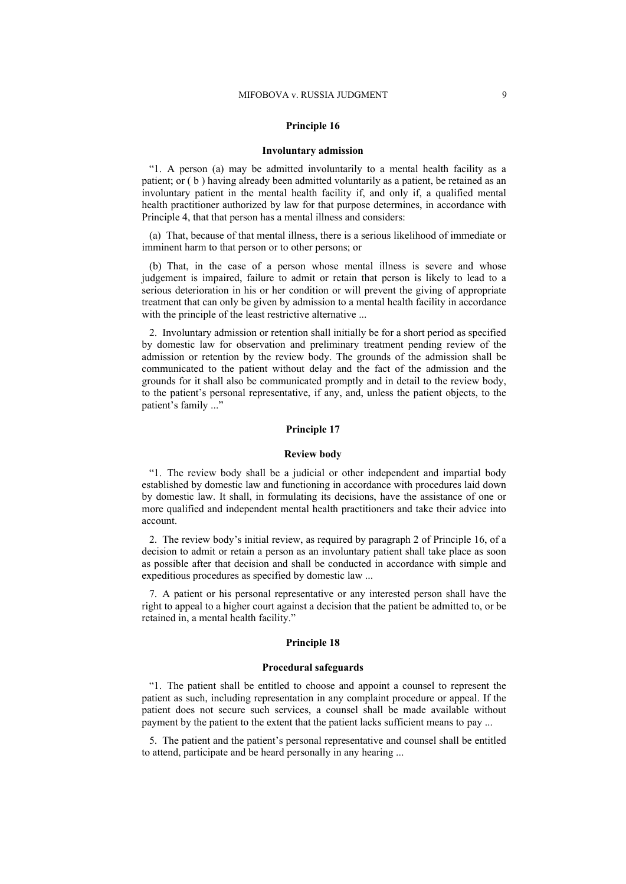#### **Principle 16**

#### **Involuntary admission**

"1. A person (a) may be admitted involuntarily to a mental health facility as a patient; or ( b ) having already been admitted voluntarily as a patient, be retained as an involuntary patient in the mental health facility if, and only if, a qualified mental health practitioner authorized by law for that purpose determines, in accordance with Principle 4, that that person has a mental illness and considers:

(a) That, because of that mental illness, there is a serious likelihood of immediate or imminent harm to that person or to other persons; or

(b) That, in the case of a person whose mental illness is severe and whose judgement is impaired, failure to admit or retain that person is likely to lead to a serious deterioration in his or her condition or will prevent the giving of appropriate treatment that can only be given by admission to a mental health facility in accordance with the principle of the least restrictive alternative ...

2. Involuntary admission or retention shall initially be for a short period as specified by domestic law for observation and preliminary treatment pending review of the admission or retention by the review body. The grounds of the admission shall be communicated to the patient without delay and the fact of the admission and the grounds for it shall also be communicated promptly and in detail to the review body, to the patient's personal representative, if any, and, unless the patient objects, to the patient's family ..."

#### **Principle 17**

#### **Review body**

"1. The review body shall be a judicial or other independent and impartial body established by domestic law and functioning in accordance with procedures laid down by domestic law. It shall, in formulating its decisions, have the assistance of one or more qualified and independent mental health practitioners and take their advice into account.

2. The review body's initial review, as required by paragraph 2 of Principle 16, of a decision to admit or retain a person as an involuntary patient shall take place as soon as possible after that decision and shall be conducted in accordance with simple and expeditious procedures as specified by domestic law ...

7. A patient or his personal representative or any interested person shall have the right to appeal to a higher court against a decision that the patient be admitted to, or be retained in, a mental health facility."

#### **Principle 18**

#### **Procedural safeguards**

"1. The patient shall be entitled to choose and appoint a counsel to represent the patient as such, including representation in any complaint procedure or appeal. If the patient does not secure such services, a counsel shall be made available without payment by the patient to the extent that the patient lacks sufficient means to pay ...

5. The patient and the patient's personal representative and counsel shall be entitled to attend, participate and be heard personally in any hearing ...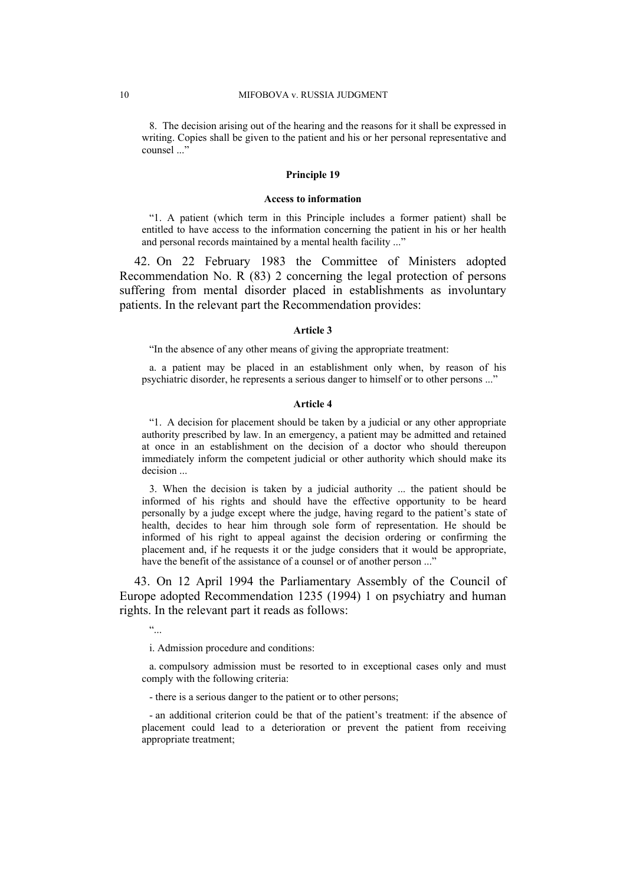8. The decision arising out of the hearing and the reasons for it shall be expressed in writing. Copies shall be given to the patient and his or her personal representative and counsel ..."

#### **Principle 19**

#### **Access to information**

"1. A patient (which term in this Principle includes a former patient) shall be entitled to have access to the information concerning the patient in his or her health and personal records maintained by a mental health facility ..."

42. On 22 February 1983 the Committee of Ministers adopted Recommendation No. R (83) 2 concerning the legal protection of persons suffering from mental disorder placed in establishments as involuntary patients. In the relevant part the Recommendation provides:

#### **Article 3**

"In the absence of any other means of giving the appropriate treatment:

a. a patient may be placed in an establishment only when, by reason of his psychiatric disorder, he represents a serious danger to himself or to other persons ..."

#### **Article 4**

"1. A decision for placement should be taken by a judicial or any other appropriate authority prescribed by law. In an emergency, a patient may be admitted and retained at once in an establishment on the decision of a doctor who should thereupon immediately inform the competent judicial or other authority which should make its decision ...

3. When the decision is taken by a judicial authority ... the patient should be informed of his rights and should have the effective opportunity to be heard personally by a judge except where the judge, having regard to the patient's state of health, decides to hear him through sole form of representation. He should be informed of his right to appeal against the decision ordering or confirming the placement and, if he requests it or the judge considers that it would be appropriate, have the benefit of the assistance of a counsel or of another person ..."

43. On 12 April 1994 the Parliamentary Assembly of the Council of Europe adopted Recommendation 1235 (1994) 1 on psychiatry and human rights. In the relevant part it reads as follows:

"...

i. Admission procedure and conditions:

a. compulsory admission must be resorted to in exceptional cases only and must comply with the following criteria:

- there is a serious danger to the patient or to other persons;

- an additional criterion could be that of the patient's treatment: if the absence of placement could lead to a deterioration or prevent the patient from receiving appropriate treatment;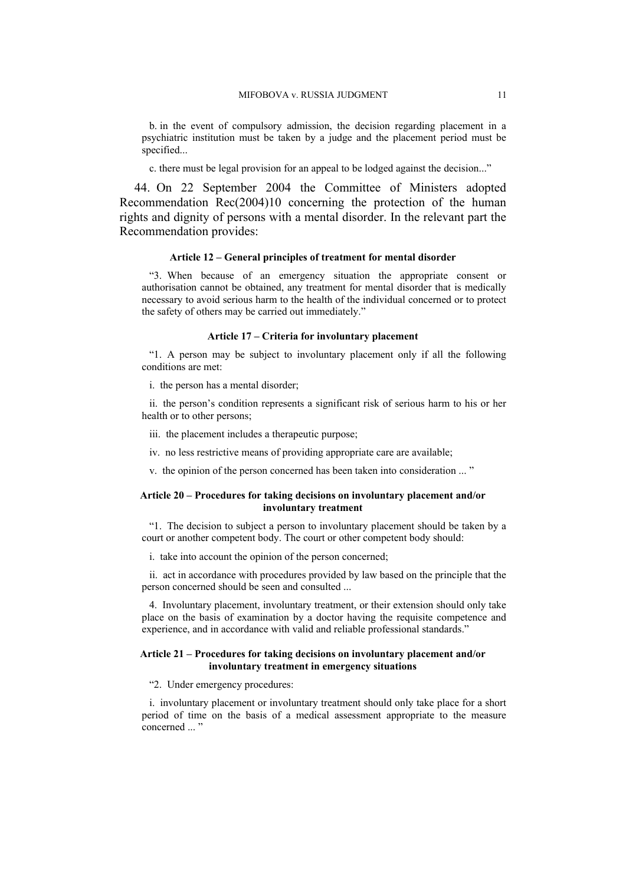b. in the event of compulsory admission, the decision regarding placement in a psychiatric institution must be taken by a judge and the placement period must be specified...

c. there must be legal provision for an appeal to be lodged against the decision..."

44. On 22 September 2004 the Committee of Ministers adopted Recommendation Rec(2004)10 concerning the protection of the human rights and dignity of persons with a mental disorder. In the relevant part the Recommendation provides:

#### **Article 12 – General principles of treatment for mental disorder**

"3. When because of an emergency situation the appropriate consent or authorisation cannot be obtained, any treatment for mental disorder that is medically necessary to avoid serious harm to the health of the individual concerned or to protect the safety of others may be carried out immediately."

#### **Article 17 – Criteria for involuntary placement**

"1. A person may be subject to involuntary placement only if all the following conditions are met:

i. the person has a mental disorder;

ii. the person's condition represents a significant risk of serious harm to his or her health or to other persons;

iii. the placement includes a therapeutic purpose;

iv. no less restrictive means of providing appropriate care are available;

v. the opinion of the person concerned has been taken into consideration ... "

#### **Article 20 – Procedures for taking decisions on involuntary placement and/or involuntary treatment**

"1. The decision to subject a person to involuntary placement should be taken by a court or another competent body. The court or other competent body should:

i. take into account the opinion of the person concerned;

ii. act in accordance with procedures provided by law based on the principle that the person concerned should be seen and consulted ...

4. Involuntary placement, involuntary treatment, or their extension should only take place on the basis of examination by a doctor having the requisite competence and experience, and in accordance with valid and reliable professional standards."

#### **Article 21 – Procedures for taking decisions on involuntary placement and/or involuntary treatment in emergency situations**

"2. Under emergency procedures:

i. involuntary placement or involuntary treatment should only take place for a short period of time on the basis of a medical assessment appropriate to the measure concerned ..."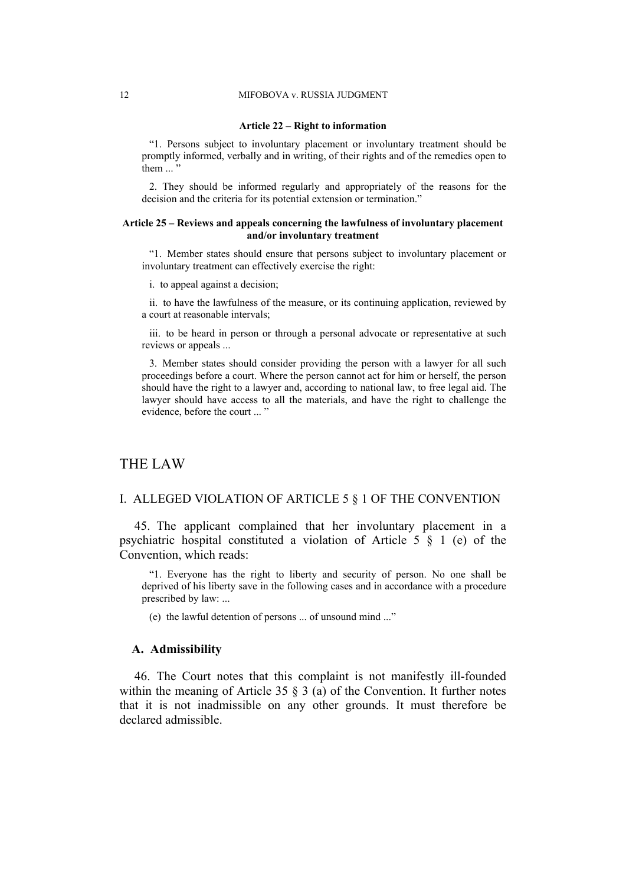#### **Article 22 – Right to information**

"1. Persons subject to involuntary placement or involuntary treatment should be promptly informed, verbally and in writing, of their rights and of the remedies open to them  $\ldots$ 

2. They should be informed regularly and appropriately of the reasons for the decision and the criteria for its potential extension or termination."

#### **Article 25 – Reviews and appeals concerning the lawfulness of involuntary placement and/or involuntary treatment**

"1. Member states should ensure that persons subject to involuntary placement or involuntary treatment can effectively exercise the right:

i. to appeal against a decision;

ii. to have the lawfulness of the measure, or its continuing application, reviewed by a court at reasonable intervals;

iii. to be heard in person or through a personal advocate or representative at such reviews or appeals ...

3. Member states should consider providing the person with a lawyer for all such proceedings before a court. Where the person cannot act for him or herself, the person should have the right to a lawyer and, according to national law, to free legal aid. The lawyer should have access to all the materials, and have the right to challenge the evidence, before the court ... "

### THE LAW

### I. ALLEGED VIOLATION OF ARTICLE 5 § 1 OF THE CONVENTION

45. The applicant complained that her involuntary placement in a psychiatric hospital constituted a violation of Article 5 § 1 (e) of the Convention, which reads:

"1. Everyone has the right to liberty and security of person. No one shall be deprived of his liberty save in the following cases and in accordance with a procedure prescribed by law: ...

(e) the lawful detention of persons ... of unsound mind ..."

### **A. Admissibility**

46. The Court notes that this complaint is not manifestly ill-founded within the meaning of Article 35 § 3 (a) of the Convention. It further notes that it is not inadmissible on any other grounds. It must therefore be declared admissible.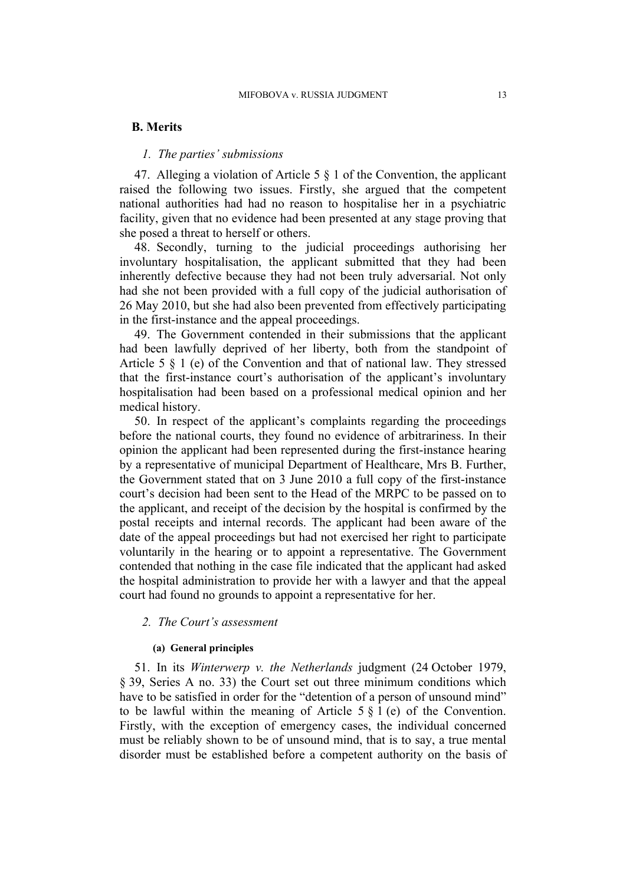### **B. Merits**

### *1. The parties' submissions*

47. Alleging a violation of Article 5 § 1 of the Convention, the applicant raised the following two issues. Firstly, she argued that the competent national authorities had had no reason to hospitalise her in a psychiatric facility, given that no evidence had been presented at any stage proving that she posed a threat to herself or others.

48. Secondly, turning to the judicial proceedings authorising her involuntary hospitalisation, the applicant submitted that they had been inherently defective because they had not been truly adversarial. Not only had she not been provided with a full copy of the judicial authorisation of 26 May 2010, but she had also been prevented from effectively participating in the first-instance and the appeal proceedings.

49. The Government contended in their submissions that the applicant had been lawfully deprived of her liberty, both from the standpoint of Article 5 § 1 (e) of the Convention and that of national law. They stressed that the first-instance court's authorisation of the applicant's involuntary hospitalisation had been based on a professional medical opinion and her medical history.

50. In respect of the applicant's complaints regarding the proceedings before the national courts, they found no evidence of arbitrariness. In their opinion the applicant had been represented during the first-instance hearing by a representative of municipal Department of Healthcare, Mrs B. Further, the Government stated that on 3 June 2010 a full copy of the first-instance court's decision had been sent to the Head of the MRPC to be passed on to the applicant, and receipt of the decision by the hospital is confirmed by the postal receipts and internal records. The applicant had been aware of the date of the appeal proceedings but had not exercised her right to participate voluntarily in the hearing or to appoint a representative. The Government contended that nothing in the case file indicated that the applicant had asked the hospital administration to provide her with a lawyer and that the appeal court had found no grounds to appoint a representative for her.

### *2. The Court's assessment*

#### **(a) General principles**

51. In its *Winterwerp v. the Netherlands* judgment (24 October 1979, § 39, Series A no. 33) the Court set out three minimum conditions which have to be satisfied in order for the "detention of a person of unsound mind" to be lawful within the meaning of Article  $5 \nsubseteq 1$  (e) of the Convention. Firstly, with the exception of emergency cases, the individual concerned must be reliably shown to be of unsound mind, that is to say, a true mental disorder must be established before a competent authority on the basis of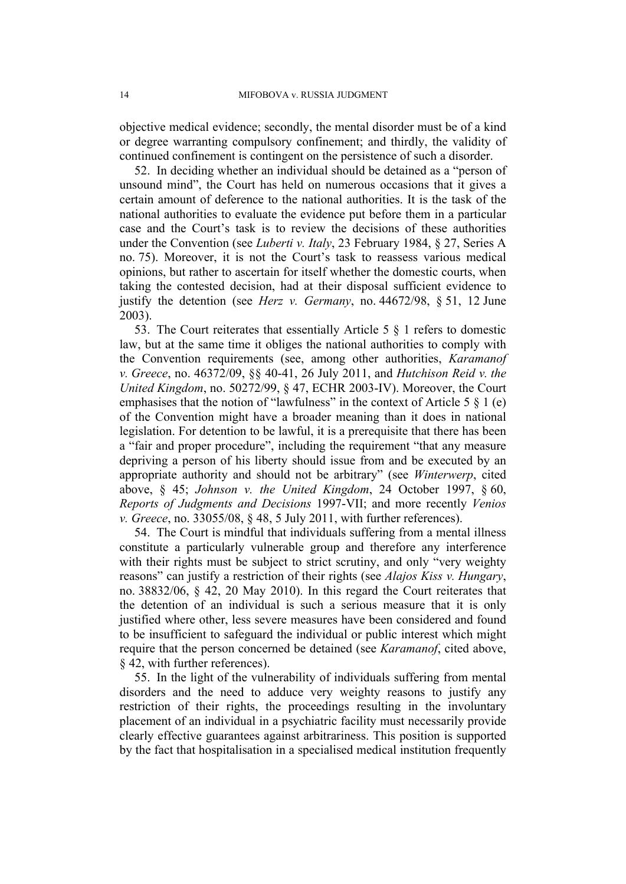objective medical evidence; secondly, the mental disorder must be of a kind or degree warranting compulsory confinement; and thirdly, the validity of continued confinement is contingent on the persistence of such a disorder.

52. In deciding whether an individual should be detained as a "person of unsound mind", the Court has held on numerous occasions that it gives a certain amount of deference to the national authorities. It is the task of the national authorities to evaluate the evidence put before them in a particular case and the Court's task is to review the decisions of these authorities under the Convention (see *Luberti v. Italy*, 23 February 1984, § 27, Series A no. 75). Moreover, it is not the Court's task to reassess various medical opinions, but rather to ascertain for itself whether the domestic courts, when taking the contested decision, had at their disposal sufficient evidence to justify the detention (see *Herz v. Germany*, no. 44672/98, § 51, 12 June 2003).

53. The Court reiterates that essentially Article 5 § 1 refers to domestic law, but at the same time it obliges the national authorities to comply with the Convention requirements (see, among other authorities, *Karamanof v. Greece*, no. 46372/09, §§ 40-41, 26 July 2011, and *Hutchison Reid v. the United Kingdom*, no. 50272/99, § 47, ECHR 2003-IV). Moreover, the Court emphasises that the notion of "lawfulness" in the context of Article 5  $\S$  1 (e) of the Convention might have a broader meaning than it does in national legislation. For detention to be lawful, it is a prerequisite that there has been a "fair and proper procedure", including the requirement "that any measure depriving a person of his liberty should issue from and be executed by an appropriate authority and should not be arbitrary" (see *Winterwerp*, cited above, § 45; *Johnson v. the United Kingdom*, 24 October 1997, § 60, *Reports of Judgments and Decisions* 1997-VII; and more recently *Venios v. Greece*, no. 33055/08, § 48, 5 July 2011, with further references).

54. The Court is mindful that individuals suffering from a mental illness constitute a particularly vulnerable group and therefore any interference with their rights must be subject to strict scrutiny, and only "very weighty" reasons" can justify a restriction of their rights (see *Alajos Kiss v. Hungary*, no. 38832/06, § 42, 20 May 2010). In this regard the Court reiterates that the detention of an individual is such a serious measure that it is only justified where other, less severe measures have been considered and found to be insufficient to safeguard the individual or public interest which might require that the person concerned be detained (see *Karamanof*, cited above, § 42, with further references).

55. In the light of the vulnerability of individuals suffering from mental disorders and the need to adduce very weighty reasons to justify any restriction of their rights, the proceedings resulting in the involuntary placement of an individual in a psychiatric facility must necessarily provide clearly effective guarantees against arbitrariness. This position is supported by the fact that hospitalisation in a specialised medical institution frequently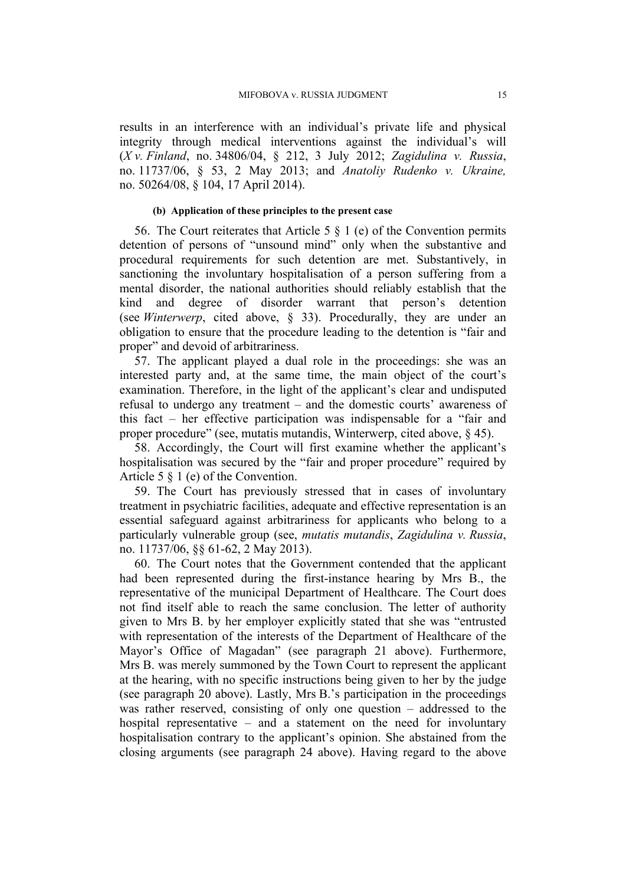results in an interference with an individual's private life and physical integrity through medical interventions against the individual's will (*X v. Finland*, no. 34806/04, § 212, 3 July 2012; *Zagidulina v. Russia*, no. 11737/06, § 53, 2 May 2013; and *Anatoliy Rudenko v. Ukraine,* no. 50264/08, § 104, 17 April 2014).

### **(b) Application of these principles to the present case**

56. The Court reiterates that Article 5  $\S$  1 (e) of the Convention permits detention of persons of "unsound mind" only when the substantive and procedural requirements for such detention are met. Substantively, in sanctioning the involuntary hospitalisation of a person suffering from a mental disorder, the national authorities should reliably establish that the kind and degree of disorder warrant that person's detention (see *Winterwerp*, cited above, § 33). Procedurally, they are under an obligation to ensure that the procedure leading to the detention is "fair and proper" and devoid of arbitrariness.

57. The applicant played a dual role in the proceedings: she was an interested party and, at the same time, the main object of the court's examination. Therefore, in the light of the applicant's clear and undisputed refusal to undergo any treatment – and the domestic courts' awareness of this fact  $-$  her effective participation was indispensable for a "fair and proper procedure" (see, mutatis mutandis, Winterwerp, cited above, § 45).

58. Accordingly, the Court will first examine whether the applicant's hospitalisation was secured by the "fair and proper procedure" required by Article 5 § 1 (e) of the Convention.

59. The Court has previously stressed that in cases of involuntary treatment in psychiatric facilities, adequate and effective representation is an essential safeguard against arbitrariness for applicants who belong to a particularly vulnerable group (see, *mutatis mutandis*, *Zagidulina v. Russia*, no. 11737/06, §§ 61-62, 2 May 2013).

60. The Court notes that the Government contended that the applicant had been represented during the first-instance hearing by Mrs B., the representative of the municipal Department of Healthcare. The Court does not find itself able to reach the same conclusion. The letter of authority given to Mrs B. by her employer explicitly stated that she was "entrusted with representation of the interests of the Department of Healthcare of the Mayor's Office of Magadan" (see paragraph [21](#page-5-0) above). Furthermore, Mrs B. was merely summoned by the Town Court to represent the applicant at the hearing, with no specific instructions being given to her by the judge (see paragraph [20](#page-5-1) above). Lastly, Mrs B.'s participation in the proceedings was rather reserved, consisting of only one question  $-$  addressed to the hospital representative  $-$  and a statement on the need for involuntary hospitalisation contrary to the applicant's opinion. She abstained from the closing arguments (see paragraph [24](#page-5-2) above). Having regard to the above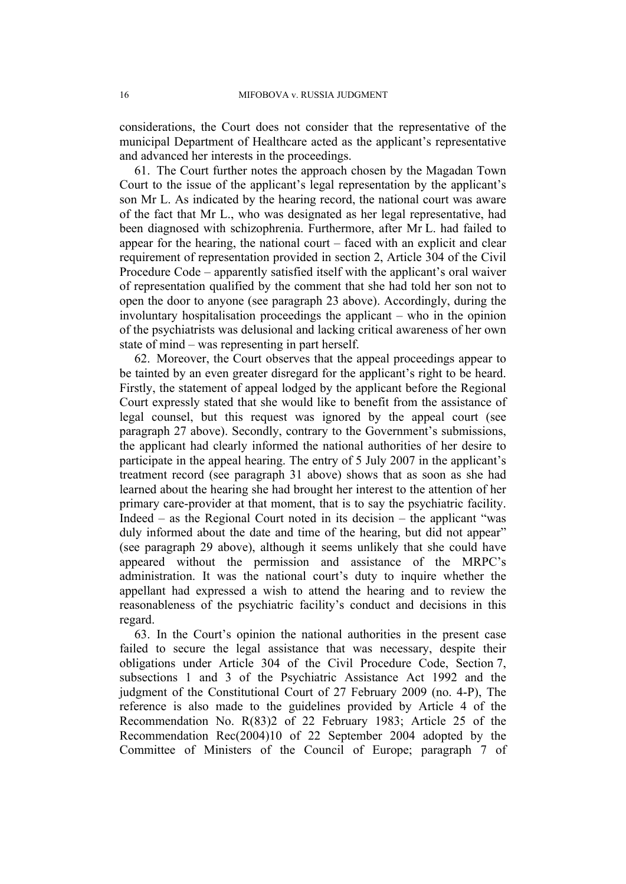considerations, the Court does not consider that the representative of the municipal Department of Healthcare acted as the applicant's representative and advanced her interests in the proceedings.

61. The Court further notes the approach chosen by the Magadan Town Court to the issue of the applicant's legal representation by the applicant's son Mr L. As indicated by the hearing record, the national court was aware of the fact that Mr L., who was designated as her legal representative, had been diagnosed with schizophrenia. Furthermore, after Mr L. had failed to appear for the hearing, the national court  $-$  faced with an explicit and clear requirement of representation provided in section 2, Article 304 of the Civil Procedure Code – apparently satisfied itself with the applicant's oral waiver of representation qualified by the comment that she had told her son not to open the door to anyone (see paragraph [23](#page-5-3) above). Accordingly, during the involuntary hospitalisation proceedings the applicant  $-$  who in the opinion of the psychiatrists was delusional and lacking critical awareness of her own state of mind – was representing in part herself.

62. Moreover, the Court observes that the appeal proceedings appear to be tainted by an even greater disregard for the applicant's right to be heard. Firstly, the statement of appeal lodged by the applicant before the Regional Court expressly stated that she would like to benefit from the assistance of legal counsel, but this request was ignored by the appeal court (see paragraph [27](#page-5-4) above). Secondly, contrary to the Government's submissions, the applicant had clearly informed the national authorities of her desire to participate in the appeal hearing. The entry of 5 July 2007 in the applicant's treatment record (see paragraph [31](#page-6-0) above) shows that as soon as she had learned about the hearing she had brought her interest to the attention of her primary care-provider at that moment, that is to say the psychiatric facility. Indeed  $-$  as the Regional Court noted in its decision  $-$  the applicant "was duly informed about the date and time of the hearing, but did not appear" (see paragraph [29](#page-6-1) above), although it seems unlikely that she could have appeared without the permission and assistance of the MRPC's administration. It was the national court's duty to inquire whether the appellant had expressed a wish to attend the hearing and to review the reasonableness of the psychiatric facility's conduct and decisions in this regard.

63. In the Court's opinion the national authorities in the present case failed to secure the legal assistance that was necessary, despite their obligations under Article 304 of the Civil Procedure Code, Section 7, subsections 1 and 3 of the Psychiatric Assistance Act 1992 and the judgment of the Constitutional Court of 27 February 2009 (no. 4-P), The reference is also made to the guidelines provided by Article 4 of the Recommendation No. R(83)2 of 22 February 1983; Article 25 of the Recommendation Rec(2004)10 of 22 September 2004 adopted by the Committee of Ministers of the Council of Europe; paragraph 7 of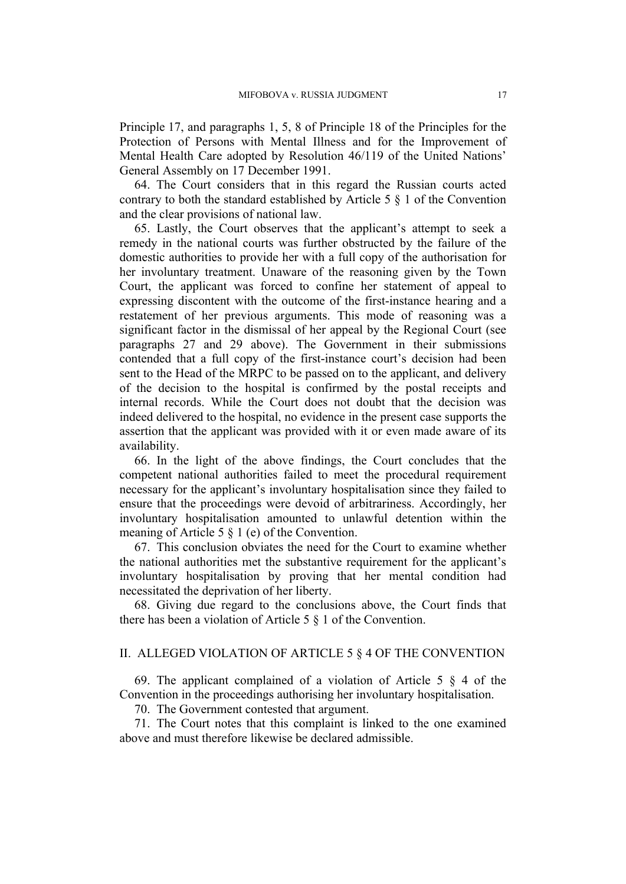Principle 17, and paragraphs 1, 5, 8 of Principle 18 of the Principles for the Protection of Persons with Mental Illness and for the Improvement of Mental Health Care adopted by Resolution 46/119 of the United Nations' General Assembly on 17 December 1991.

64. The Court considers that in this regard the Russian courts acted contrary to both the standard established by Article 5 § 1 of the Convention and the clear provisions of national law.

65. Lastly, the Court observes that the applicant's attempt to seek a remedy in the national courts was further obstructed by the failure of the domestic authorities to provide her with a full copy of the authorisation for her involuntary treatment. Unaware of the reasoning given by the Town Court, the applicant was forced to confine her statement of appeal to expressing discontent with the outcome of the first-instance hearing and a restatement of her previous arguments. This mode of reasoning was a significant factor in the dismissal of her appeal by the Regional Court (see paragraphs [27](#page-5-4) and [29](#page-6-1) above). The Government in their submissions contended that a full copy of the first-instance court's decision had been sent to the Head of the MRPC to be passed on to the applicant, and delivery of the decision to the hospital is confirmed by the postal receipts and internal records. While the Court does not doubt that the decision was indeed delivered to the hospital, no evidence in the present case supports the assertion that the applicant was provided with it or even made aware of its availability.

66. In the light of the above findings, the Court concludes that the competent national authorities failed to meet the procedural requirement necessary for the applicant's involuntary hospitalisation since they failed to ensure that the proceedings were devoid of arbitrariness. Accordingly, her involuntary hospitalisation amounted to unlawful detention within the meaning of Article 5 § 1 (e) of the Convention.

67. This conclusion obviates the need for the Court to examine whether the national authorities met the substantive requirement for the applicant's involuntary hospitalisation by proving that her mental condition had necessitated the deprivation of her liberty.

68. Giving due regard to the conclusions above, the Court finds that there has been a violation of Article 5 § 1 of the Convention.

### II. ALLEGED VIOLATION OF ARTICLE 5 § 4 OF THE CONVENTION

69. The applicant complained of a violation of Article 5 § 4 of the Convention in the proceedings authorising her involuntary hospitalisation.

70. The Government contested that argument.

71. The Court notes that this complaint is linked to the one examined above and must therefore likewise be declared admissible.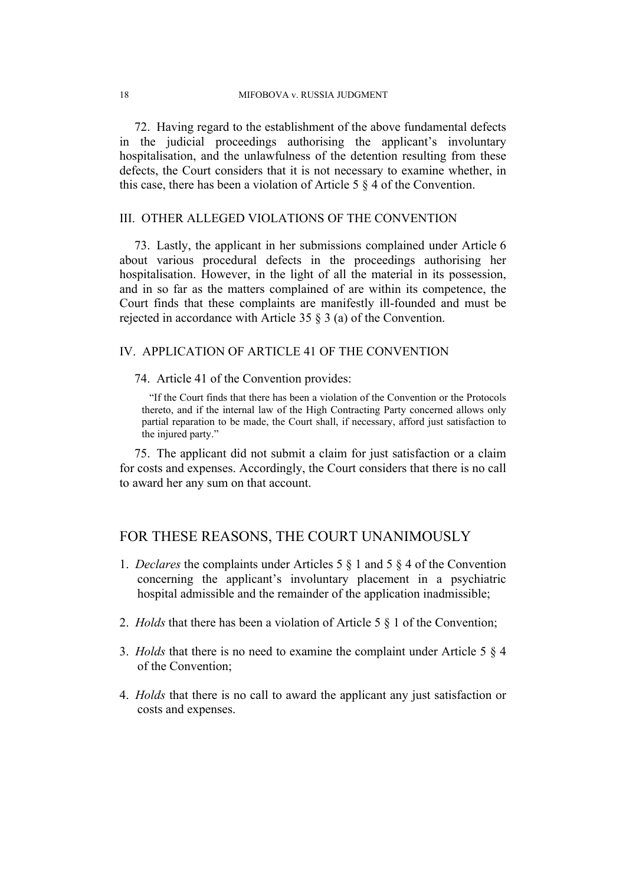72. Having regard to the establishment of the above fundamental defects in the judicial proceedings authorising the applicant's involuntary hospitalisation, and the unlawfulness of the detention resulting from these defects, the Court considers that it is not necessary to examine whether, in this case, there has been a violation of Article 5 § 4 of the Convention.

### III. OTHER ALLEGED VIOLATIONS OF THE CONVENTION

73. Lastly, the applicant in her submissions complained under Article 6 about various procedural defects in the proceedings authorising her hospitalisation. However, in the light of all the material in its possession, and in so far as the matters complained of are within its competence, the Court finds that these complaints are manifestly ill-founded and must be rejected in accordance with Article 35 § 3 (a) of the Convention.

### IV. APPLICATION OF ARTICLE 41 OF THE CONVENTION

74. Article 41 of the Convention provides:

"If the Court finds that there has been a violation of the Convention or the Protocols thereto, and if the internal law of the High Contracting Party concerned allows only partial reparation to be made, the Court shall, if necessary, afford just satisfaction to the injured party."

75. The applicant did not submit a claim for just satisfaction or a claim for costs and expenses. Accordingly, the Court considers that there is no call to award her any sum on that account.

# FOR THESE REASONS, THE COURT UNANIMOUSLY

- 1. *Declares* the complaints under Articles 5 § 1 and 5 § 4 of the Convention concerning the applicant's involuntary placement in a psychiatric hospital admissible and the remainder of the application inadmissible;
- 2. *Holds* that there has been a violation of Article 5 § 1 of the Convention;
- 3. *Holds* that there is no need to examine the complaint under Article 5 § 4 of the Convention;
- 4. *Holds* that there is no call to award the applicant any just satisfaction or costs and expenses.